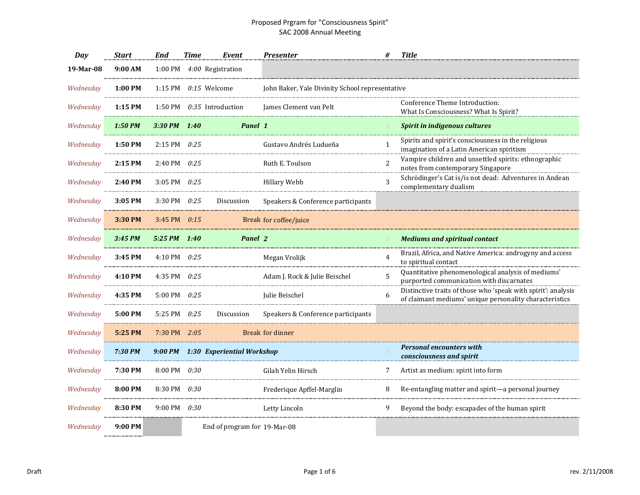| Day       | Start     | End            | <b>Time</b> | Event                              | <b>Presenter</b>                                | #              | <b>Title</b>                                                                                                             |
|-----------|-----------|----------------|-------------|------------------------------------|-------------------------------------------------|----------------|--------------------------------------------------------------------------------------------------------------------------|
| 19-Mar-08 | 9:00 AM   | 1:00 PM        |             | 4:00 Registration                  |                                                 |                |                                                                                                                          |
| Wednesdav | 1:00 PM   | 1:15 PM        |             | $0:15$ Welcome                     | John Baker, Yale Divinity School representative |                |                                                                                                                          |
| Wednesday | $1:15$ PM | 1:50 PM        |             | $0.35$ Introduction                | James Clement van Pelt                          |                | Conference Theme Introduction:<br>What Is Consciousness? What Is Spirit?                                                 |
| Wednesday | 1:50 PM   | 3:30 PM 1:40   |             | Panel 1                            |                                                 |                | <b>Spirit in indigenous cultures</b>                                                                                     |
| Wednesday | 1:50 PM   | 2:15 PM 0:25   |             |                                    | Gustavo Andrés Ludueña                          | $\mathbf{1}$   | Spirits and spirit's consciousness in the religious<br>imagination of a Latin American spiritism                         |
| Wednesday | 2:15 PM   | 2:40 PM        | 0:25        |                                    | Ruth E. Toulson                                 | $\overline{a}$ | Vampire children and unsettled spirits: ethnographic<br>notes from contemporary Singapore                                |
| Wednesdav | 2:40 PM   | 3:05 PM        | 0:25        |                                    | <b>Hillary Webb</b>                             |                | Schrödinger's Cat is/is not dead: Adventures in Andean<br>complementary dualism                                          |
| Wednesday | 3:05 PM   | 3:30 PM $0:25$ |             | Discussion                         | Speakers & Conference participants              |                |                                                                                                                          |
| Wednesday | 3:30 PM   | 3:45 PM $0:15$ |             |                                    | Break for coffee/juice                          |                |                                                                                                                          |
| Wednesday | 3:45 PM   | 5:25 PM 1:40   |             | Panel 2                            |                                                 |                | <b>Mediums and spiritual contact</b>                                                                                     |
| Wednesday | 3:45 PM   | 4:10 PM 0:25   |             |                                    | Megan Vrolijk                                   | 4              | Brazil, Africa, and Native America: androgyny and access<br>to spiritual contact                                         |
| Wednesday | 4:10 PM   | 4:35 PM        | 0:25        |                                    | Adam J. Rock & Julie Beischel                   | 5              | Quantitative phenomenological analysis of mediums'<br>purported communication with discarnates                           |
| Wednesdav | 4:35 PM   | 5:00 PM        | 0:25        |                                    | Julie Beischel                                  | 6              | Distinctive traits of those who 'speak with spirit': analysis<br>of claimant mediums' unique personality characteristics |
| Wednesday | 5:00 PM   | 5:25 PM $0:25$ |             | <b>Discussion</b>                  | Speakers & Conference participants              |                |                                                                                                                          |
| Wednesday | 5:25 PM   | 7:30 PM $2:05$ |             |                                    | <b>Break for dinner</b>                         |                |                                                                                                                          |
| Wednesday | 7:30 PM   |                |             | 9:00 PM 1:30 Experiential Workshop |                                                 |                | <b>Personal encounters with</b><br>consciousness and spirit                                                              |
| Wednesday | 7:30 PM   | 8:00 PM        | 0:30        |                                    | Gilah Yelin Hirsch                              | 7              | Artist as medium: spirit into form                                                                                       |
| Wednesday | 8:00 PM   | 8:30 PM        | 0:30        |                                    | Frederique Apffel-Marglin                       | 8              | Re-entangling matter and spirit-a personal journey                                                                       |
| Wednesdav | 8:30 PM   | 9:00 PM 0:30   |             |                                    | Letty Lincoln                                   | 9              | Beyond the body: escapades of the human spirit                                                                           |
| Wednesday | 9:00 PM   |                |             | End of program for 19-Mar-08       |                                                 |                |                                                                                                                          |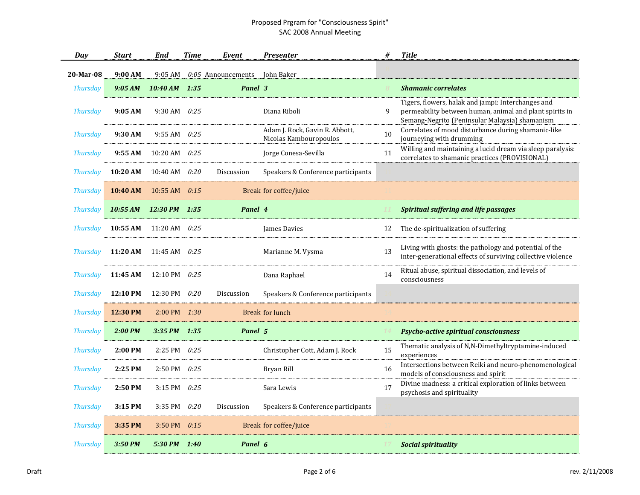| Day             | <b>Start</b>                     | End                        | <b>Time</b> | Event                | <b>Presenter</b>                                         |    | <b>Title</b>                                                                                                                                                    |
|-----------------|----------------------------------|----------------------------|-------------|----------------------|----------------------------------------------------------|----|-----------------------------------------------------------------------------------------------------------------------------------------------------------------|
| 20-Mar-08       | 9:00 AM                          | 9:05 AM                    |             | $0:05$ Announcements | John Baker                                               |    |                                                                                                                                                                 |
| <b>Thursday</b> | 9:05 AM                          | 10:40 AM 1:35              |             | Panel 3              |                                                          |    | <b>Shamanic correlates</b>                                                                                                                                      |
| <b>Thursday</b> | 9:05 AM                          | 9:30 AM $0:25$             |             |                      | Diana Riboli                                             | 9  | Tigers, flowers, halak and jampi: Interchanges and<br>permeability between human, animal and plant spirits in<br>Semang-Negrito (Peninsular Malaysia) shamanism |
| <b>Thursday</b> | 9:30 AM                          | 9:55 AM $0:25$             |             |                      | Adam J. Rock, Gavin R. Abbott,<br>Nicolas Kambouropoulos | 10 | Correlates of mood disturbance during shamanic-like<br>journeying with drumming                                                                                 |
| <b>Thursday</b> |                                  | 9:55 AM $10:20$ AM $0:25$  |             |                      | Jorge Conesa-Sevilla                                     | 11 | Willing and maintaining a lucid dream via sleep paralysis:<br>correlates to shamanic practices (PROVISIONAL)                                                    |
| <b>Thursday</b> | 10:20 AM $10:40$ AM $0:20$       |                            |             | Discussion           | Speakers & Conference participants                       |    |                                                                                                                                                                 |
| <b>Thursday</b> |                                  | 10:40 AM $10:55$ AM $0:15$ |             |                      | Break for coffee/juice                                   |    |                                                                                                                                                                 |
| <b>Thursday</b> | 10:55 AM 12:30 PM 1:35           |                            |             | Panel 4              |                                                          |    | <b>Spiritual suffering and life passages</b>                                                                                                                    |
| <b>Thursday</b> | 10:55 AM $11:20$ AM $0:25$       |                            |             |                      | James Davies                                             |    | 12 The de-spiritualization of suffering                                                                                                                         |
| <b>Thursday</b> | 11:20 AM $11:45$ AM $0:25$       |                            |             |                      | Marianne M. Vysma                                        | 13 | Living with ghosts: the pathology and potential of the<br>inter-generational effects of surviving collective violence                                           |
| <b>Thursday</b> | 11:45 AM $12:10 \text{ PM}$ 0:25 |                            |             |                      | Dana Raphael                                             | 14 | Ritual abuse, spiritual dissociation, and levels of<br>consciousness                                                                                            |
| <b>Thursday</b> | 12:10 PM                         | 12:30 PM $0:20$            |             | Discussion           | Speakers & Conference participants                       |    |                                                                                                                                                                 |
| <b>Thursday</b> | 12:30 PM                         | $2:00 \text{ PM}$ $1:30$   |             |                      | Break for lunch                                          |    |                                                                                                                                                                 |
| <b>Thursday</b> | 2:00 PM                          | $3:35$ PM $1:35$           |             | Panel 5              |                                                          |    | <b>Psycho-active spiritual consciousness</b>                                                                                                                    |
| <b>Thursday</b> | 2:00 PM                          | 2:25 PM 0:25               |             |                      | Christopher Cott, Adam J. Rock                           | 15 | Thematic analysis of N,N-Dimethyltryptamine-induced<br>experiences                                                                                              |
| <b>Thursday</b> | 2:25 PM                          | 2:50 PM 0:25               |             |                      | Bryan Rill                                               | 16 | Intersections between Reiki and neuro-phenomenological<br>models of consciousness and spirit                                                                    |
| <b>Thursday</b> | 2:50 PM                          | 3:15 PM $0:25$             |             |                      | Sara Lewis                                               | 17 | Divine madness: a critical exploration of links between<br>psychosis and spirituality                                                                           |
| <b>Thursday</b> | 3:15 PM                          | 3:35 PM 0:20               |             | Discussion           | Speakers & Conference participants                       |    |                                                                                                                                                                 |
| <b>Thursday</b> | 3:35 PM                          | 3:50 PM $0:15$             |             |                      | Break for coffee/juice                                   |    |                                                                                                                                                                 |
| <b>Thursday</b> | 3:50 PM                          | 5:30 PM 1:40               |             | Panel 6              |                                                          |    | <b>Social spirituality</b>                                                                                                                                      |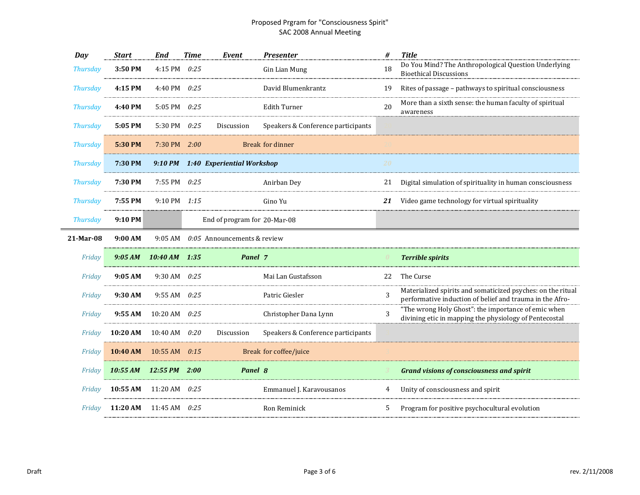| Day             | <b>Start</b> | End                          | <b>Time</b> | Event                                 | <b>Presenter</b>                   | #  | <b>Title</b>                                                                                                            |
|-----------------|--------------|------------------------------|-------------|---------------------------------------|------------------------------------|----|-------------------------------------------------------------------------------------------------------------------------|
| <b>Thursday</b> | 3:50 PM      | 4:15 PM 0:25                 |             |                                       | Gin Lian Mung                      | 18 | Do You Mind? The Anthropological Question Underlying<br><b>Bioethical Discussions</b>                                   |
| <b>Thursday</b> | 4:15 PM      | 4:40 PM 0:25                 |             |                                       | David Blumenkrantz                 | 19 | Rites of passage - pathways to spiritual consciousness                                                                  |
| <b>Thursday</b> | 4:40 PM      | 5:05 PM $0:25$               |             |                                       | <b>Edith Turner</b>                | 20 | More than a sixth sense: the human faculty of spiritual<br>awareness                                                    |
| <b>Thursday</b> | 5:05 PM      | 5:30 PM 0:25                 |             | Discussion                            | Speakers & Conference participants |    |                                                                                                                         |
| <b>Thursday</b> | 5:30 PM      | $7:30 \text{ PM}$ $2:00$     |             |                                       | <b>Break for dinner</b>            |    |                                                                                                                         |
| <b>Thursday</b> | 7:30 PM      |                              |             | 9:10 PM 1:40 Experiential Workshop    |                                    | 20 |                                                                                                                         |
| <b>Thursday</b> | 7:30 PM      | 7:55 PM $0:25$               |             |                                       | Anirban Dey                        |    | 21 Digital simulation of spirituality in human consciousness                                                            |
| <b>Thursday</b> | 7:55 PM      | 9:10 PM 1:15                 |             |                                       | Gino Yu                            | 21 | Video game technology for virtual spirituality                                                                          |
| <b>Thursday</b> | 9:10 PM      |                              |             | End of program for 20-Mar-08          |                                    |    |                                                                                                                         |
| 21-Mar-08       | 9:00 AM      |                              |             | 9:05 AM $0:05$ Announcements & review |                                    |    |                                                                                                                         |
| Friday          |              | $9:05 AM$ $10:40 AM$ $1:35$  |             | Panel 7                               |                                    |    | <b>Terrible spirits</b>                                                                                                 |
| Friday          | 9:05AM       | 9:30 AM $0:25$               |             |                                       | Mai Lan Gustafsson                 | 22 | The Curse                                                                                                               |
| Friday          | 9:30 AM      | $9:55$ AM $0:25$             |             |                                       | Patric Giesler                     | 3  | Materialized spirits and somaticized psyches: on the ritual<br>performative induction of belief and trauma in the Afro- |
| Friday          | 9:55 AM      | 10:20 AM $0:25$              |             |                                       | Christopher Dana Lynn              | 3  | "The wrong Holy Ghost": the importance of emic when<br>divining etic in mapping the physiology of Pentecostal           |
| Friday          | 10:20 AM     | 10:40 AM $0:20$              |             | Discussion                            | Speakers & Conference participants |    |                                                                                                                         |
| Friday          | 10:40 AM     | $10:55$ AM $0:15$            |             |                                       | Break for coffee/juice             |    |                                                                                                                         |
| Friday          |              | $10:55$ AM $12:55$ PM $2:00$ |             | Panel 8                               |                                    |    | <b>Grand visions of consciousness and spirit</b>                                                                        |
| Friday          | 10:55 AM     | 11:20 AM $0:25$              |             |                                       | Emmanuel J. Karavousanos           | 4  | Unity of consciousness and spirit                                                                                       |
| Friday          | 11:20 AM     | 11:45 AM $0:25$              |             |                                       | Ron Reminick                       | 5. | Program for positive psychocultural evolution                                                                           |
|                 |              |                              |             |                                       |                                    |    |                                                                                                                         |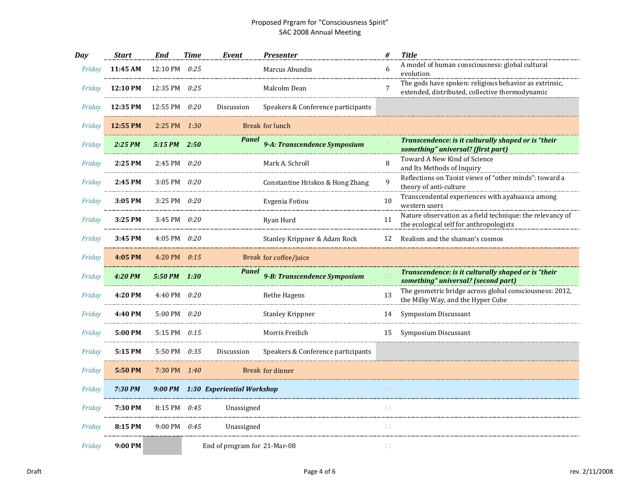| Day    | <b>Start</b> | <b>End</b>       | <b>Time</b> | Event                              | <b>Presenter</b>                   | #            | <b>Title</b>                                                                                              |
|--------|--------------|------------------|-------------|------------------------------------|------------------------------------|--------------|-----------------------------------------------------------------------------------------------------------|
| Friday | 11:45 AM     | 12:10 PM         | 0:25        |                                    | Marcus Abundis                     | 6            | A model of human consciousness: global cultural<br>evolution                                              |
| Friday | 12:10 PM     | 12:35 PM         | 0:25        |                                    | Malcolm Dean                       | 7            | The gods have spoken: religious behavior as extrinsic,<br>extended, distributed, collective thermodynamic |
| Friday | 12:35 PM     | 12:55 PM         | 0:20        | Discussion                         | Speakers & Conference participants |              |                                                                                                           |
| Friday | 12:55 PM     | $2:25$ PM $1:30$ |             |                                    | Break for lunch                    |              |                                                                                                           |
| Friday | 2:25 PM      | 5:15 PM          | 2:50        | Panel                              | 9-A: Transcendence Symposium       |              | Transcendence: is it culturally shaped or is "their<br>something" universal? (first part)                 |
| Friday | 2:25 PM      | 2:45 PM $0:20$   |             |                                    | Mark A. Schroll                    | 8            | Toward A New Kind of Science<br>and Its Methods of Inquiry                                                |
| Friday | 2:45 PM      | 3:05 PM $0:20$   |             |                                    | Constantine Hriskos & Hong Zhang   | $\mathbf{q}$ | Reflections on Taoist views of "other minds": toward a<br>theory of anti-culture                          |
| Friday | 3:05 PM      | 3:25 PM          | 0:20        |                                    | Evgenia Fotiou                     | 10           | Transcendental experiences with ayahuasca among<br>western users                                          |
| Friday | 3:25 PM      | 3:45 PM $0:20$   |             |                                    | Ryan Hurd                          | 11           | Nature observation as a field technique: the relevancy of<br>the ecological self for anthropologists      |
| Friday | 3:45 PM      | 4:05 PM $0:20$   |             |                                    | Stanley Krippner & Adam Rock       | 12           | Realism and the shaman's cosmos                                                                           |
| Friday | 4:05 PM      | 4:20 PM $0:15$   |             |                                    | Break for coffee/juice             |              |                                                                                                           |
| Friday | 4:20 PM      | 5:50 PM 1:30     |             | Panel                              | 9-B: Transcendence Symposium       |              | Transcendence: is it culturally shaped or is "their<br>something" universal? (second part)                |
| Friday | 4:20 PM      | 4:40 PM $0:20$   |             |                                    | <b>Bethe Hagens</b>                | 13           | The geometric bridge across global consciousness: 2012,<br>the Milky Way, and the Hyper Cube              |
| Friday | 4:40 PM      | 5:00 PM $0:20$   |             |                                    | <b>Stanley Krippner</b>            | 14           | Symposium Discussant                                                                                      |
| Friday | 5:00 PM      | 5:15 PM 0:15     |             |                                    | Morris Freilich                    | 15           | Symposium Discussant                                                                                      |
| Friday | 5:15 PM      | 5:50 PM          | 0:35        | Discussion                         | Speakers & Conference participants |              |                                                                                                           |
| Friday | 5:50 PM      | 7:30 PM 1:40     |             |                                    | Break for dinner                   |              |                                                                                                           |
| Friday | 7:30 PM      |                  |             | 9:00 PM 1:30 Experiential Workshop |                                    | 13           |                                                                                                           |
| Friday | 7:30 PM      | 8:15 PM 0:45     |             | Unassigned                         |                                    | 13           |                                                                                                           |
| Friday | 8:15 PM      | 9:00 PM 0:45     |             | Unassigned                         |                                    | 13           |                                                                                                           |
| Friday | 9:00 PM      |                  |             | End of program for 21-Mar-08       |                                    | 13           |                                                                                                           |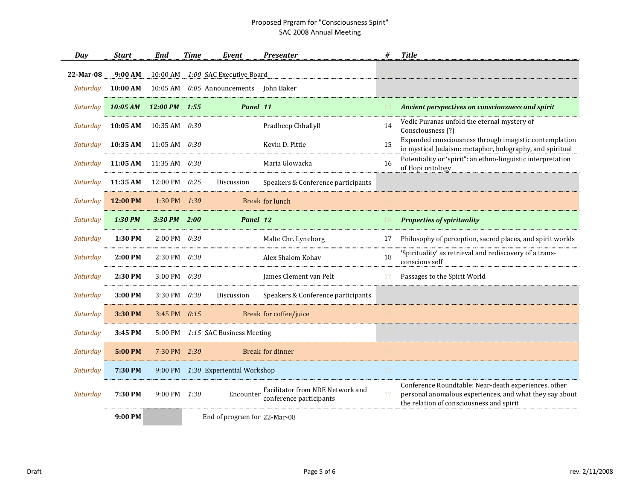| Dav       | <b>Start</b>           | End                      | <b>Time</b> | Event                              | <b>Presenter</b>                                            | #  | <b>Title</b>                                                                                                                                                |
|-----------|------------------------|--------------------------|-------------|------------------------------------|-------------------------------------------------------------|----|-------------------------------------------------------------------------------------------------------------------------------------------------------------|
| 22-Mar-08 | 9:00 AM                | $10:00$ AM               |             | 1:00 SAC Executive Board           |                                                             |    |                                                                                                                                                             |
| Saturday  | 10:00 AM               | 10:05 AM                 |             | $0:05$ Announcements John Baker    |                                                             |    |                                                                                                                                                             |
| Saturday  | 10:05 AM 12:00 PM 1:55 |                          |             | Panel 11                           |                                                             |    | Ancient perspectives on consciousness and spirit                                                                                                            |
| Saturday  | 10:05 AM               | 10:35 AM $0:30$          |             |                                    | Pradheep Chhallyll                                          | 14 | Vedic Puranas unfold the eternal mystery of<br>Consciousness (?)                                                                                            |
| Saturday  | 10:35 AM               | $11:05 \text{ AM}$ 0:30  |             |                                    | Kevin D. Pittle                                             | 15 | Expanded consciousness through imagistic contemplation<br>in mystical Judaism: metaphor, holography, and spiritual                                          |
| Saturday  | 11:05 AM               | 11:35 AM $0:30$          |             |                                    | Maria Glowacka                                              | 16 | Potentiality or 'spirit": an ethno-linguistic interpretation<br>of Hopi ontology                                                                            |
| Saturday  | 11:35 AM               | 12:00 PM 0:25            |             | Discussion                         | Speakers & Conference participants                          |    |                                                                                                                                                             |
| Saturday  | 12:00 PM               | 1:30 PM $1:30$           |             |                                    | <b>Break for lunch</b>                                      |    |                                                                                                                                                             |
| Saturday  | 1:30 PM                | $3:30$ PM $2:00$         |             | Panel 12                           |                                                             |    | <b>Properties of spirituality</b>                                                                                                                           |
| Saturday  | 1:30 PM                | $2:00 \text{ PM}$ 0:30   |             |                                    | Malte Chr. Lyneborg                                         | 17 | Philosophy of perception, sacred places, and spirit worlds                                                                                                  |
| Saturday  | 2:00 PM                | $2:30 \text{ PM}$ 0:30   |             |                                    | Alex Shalom Kohav                                           | 18 | 'Spirituality' as retrieval and rediscovery of a trans-<br>conscious self                                                                                   |
| Saturday  | 2:30 PM                | 3:00 PM 0:30             |             |                                    | James Clement van Pelt                                      |    | Passages to the Spirit World                                                                                                                                |
| Saturday  | 3:00 PM                | 3:30 PM                  | 0:30        | Discussion                         | Speakers & Conference participants                          |    |                                                                                                                                                             |
| Saturday  | 3:30 PM                | 3:45 PM $0:15$           |             |                                    | Break for coffee/juice                                      |    |                                                                                                                                                             |
| Saturday  | 3:45 PM                |                          |             | 5:00 PM 1:15 SAC Business Meeting  |                                                             |    |                                                                                                                                                             |
| Saturday  | 5:00 PM                | $7:30 \text{ PM}$ $2:30$ |             |                                    | Break for dinner                                            |    |                                                                                                                                                             |
| Saturday  | 7:30 PM                |                          |             | 9:00 PM 1:30 Experiential Workshop |                                                             | 17 |                                                                                                                                                             |
| Saturday  | 7:30 PM                | 9:00 PM 1:30             |             | Encounter                          | Facilitator from NDE Network and<br>conference participants | 17 | Conference Roundtable: Near-death experiences, other<br>personal anomalous experiences, and what they say about<br>the relation of consciousness and spirit |
|           | 9:00 PM                |                          |             | End of program for 22-Mar-08       |                                                             |    |                                                                                                                                                             |